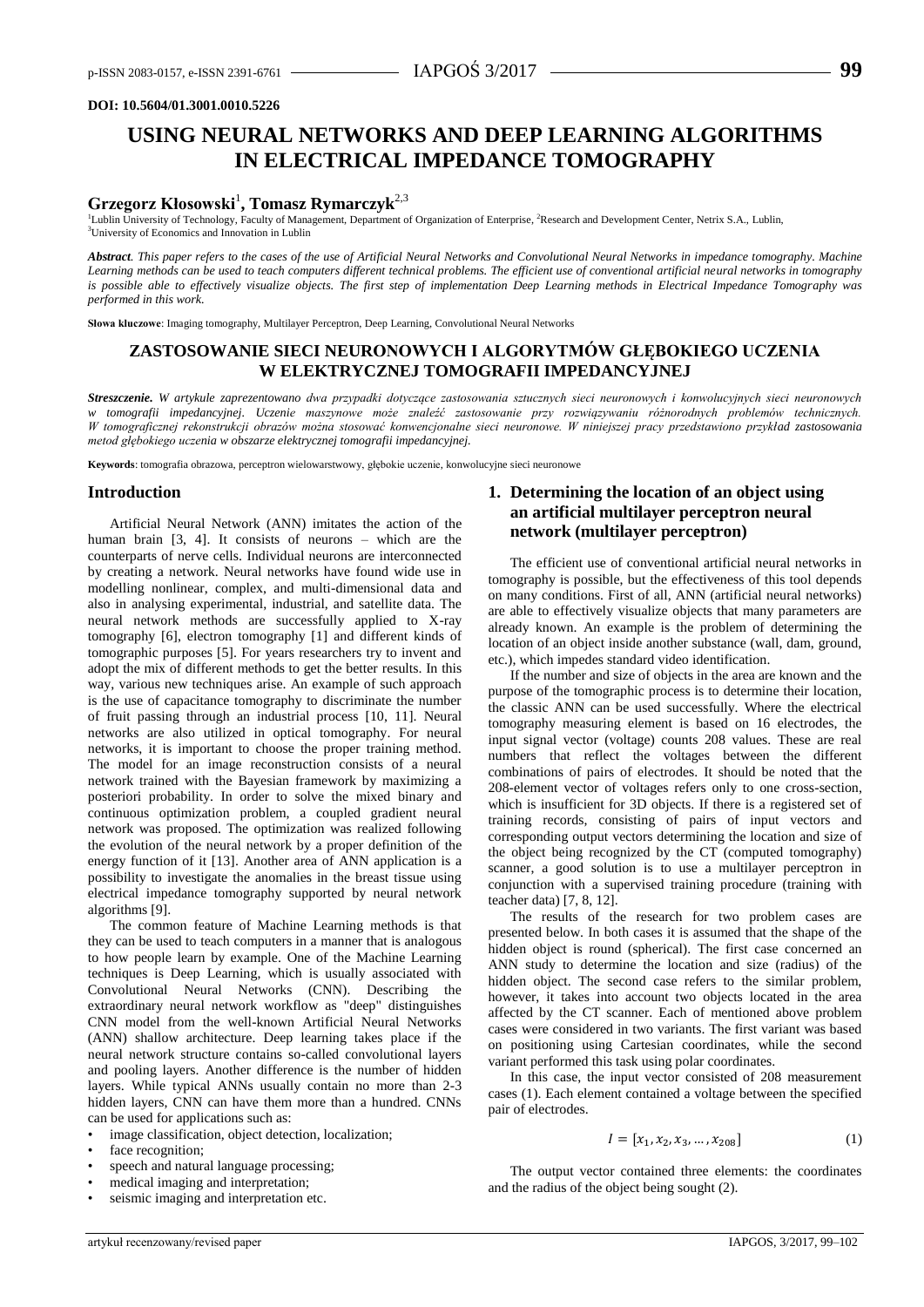### **DOI: 10.5604/01.3001.0010.5226**

# **USING NEURAL NETWORKS AND DEEP LEARNING ALGORITHMS IN ELECTRICAL IMPEDANCE TOMOGRAPHY**

# **Grzegorz Kłosowski**<sup>1</sup> **, Tomasz Rymarczyk**2,3

<sup>1</sup>Lublin University of Technology, Faculty of Management, Department of Organization of Enterprise, <sup>2</sup>Research and Development Center, Netrix S.A., Lublin, <sup>3</sup>University of Economics and Innovation in Lublin

*Abstract. This paper refers to the cases of the use of Artificial Neural Networks and Convolutional Neural Networks in impedance tomography. Machine Learning methods can be used to teach computers different technical problems. The efficient use of conventional artificial neural networks in tomography is possible able to effectively visualize objects. The first step of implementation Deep Learning methods in Electrical Impedance Tomography was performed in this work.*

**Słowa kluczowe**: Imaging tomography, Multilayer Perceptron, Deep Learning, Convolutional Neural Networks

# **ZASTOSOWANIE SIECI NEURONOWYCH I ALGORYTMÓW GŁĘBOKIEGO UCZENIA W ELEKTRYCZNEJ TOMOGRAFII IMPEDANCYJNEJ**

*Streszczenie. W artykule zaprezentowano dwa przypadki dotyczące zastosowania sztucznych sieci neuronowych i konwolucyjnych sieci neuronowych w tomografii impedancyjnej. Uczenie maszynowe może znaleźć zastosowanie przy rozwiązywaniu różnorodnych problemów technicznych. W tomograficznej rekonstrukcji obrazów można stosować konwencjonalne sieci neuronowe. W niniejszej pracy przedstawiono przykład zastosowania metod głębokiego uczenia w obszarze elektrycznej tomografii impedancyjnej.*

**Keywords**: tomografia obrazowa, perceptron wielowarstwowy, głębokie uczenie, konwolucyjne sieci neuronowe

#### **Introduction**

Artificial Neural Network (ANN) imitates the action of the human brain [3, 4]. It consists of neurons – which are the counterparts of nerve cells. Individual neurons are interconnected by creating a network. Neural networks have found wide use in modelling nonlinear, complex, and multi-dimensional data and also in analysing experimental, industrial, and satellite data. The neural network methods are successfully applied to X-ray tomography [6], electron tomography [1] and different kinds of tomographic purposes [5]. For years researchers try to invent and adopt the mix of different methods to get the better results. In this way, various new techniques arise. An example of such approach is the use of capacitance tomography to discriminate the number of fruit passing through an industrial process [10, 11]. Neural networks are also utilized in optical tomography. For neural networks, it is important to choose the proper training method. The model for an image reconstruction consists of a neural network trained with the Bayesian framework by maximizing a posteriori probability. In order to solve the mixed binary and continuous optimization problem, a coupled gradient neural network was proposed. The optimization was realized following the evolution of the neural network by a proper definition of the energy function of it [13]. Another area of ANN application is a possibility to investigate the anomalies in the breast tissue using electrical impedance tomography supported by neural network algorithms [9].

The common feature of Machine Learning methods is that they can be used to teach computers in a manner that is analogous to how people learn by example. One of the Machine Learning techniques is Deep Learning, which is usually associated with Convolutional Neural Networks (CNN). Describing the extraordinary neural network workflow as "deep" distinguishes CNN model from the well-known Artificial Neural Networks (ANN) shallow architecture. Deep learning takes place if the neural network structure contains so-called convolutional layers and pooling layers. Another difference is the number of hidden layers. While typical ANNs usually contain no more than 2-3 hidden layers, CNN can have them more than a hundred. CNNs can be used for applications such as:

- image classification, object detection, localization;
- face recognition;
- speech and natural language processing;
- medical imaging and interpretation;
- seismic imaging and interpretation etc.

# **1. Determining the location of an object using an artificial multilayer perceptron neural network (multilayer perceptron)**

The efficient use of conventional artificial neural networks in tomography is possible, but the effectiveness of this tool depends on many conditions. First of all, ANN (artificial neural networks) are able to effectively visualize objects that many parameters are already known. An example is the problem of determining the location of an object inside another substance (wall, dam, ground, etc.), which impedes standard video identification.

If the number and size of objects in the area are known and the purpose of the tomographic process is to determine their location, the classic ANN can be used successfully. Where the electrical tomography measuring element is based on 16 electrodes, the input signal vector (voltage) counts 208 values. These are real numbers that reflect the voltages between the different combinations of pairs of electrodes. It should be noted that the 208-element vector of voltages refers only to one cross-section, which is insufficient for 3D objects. If there is a registered set of training records, consisting of pairs of input vectors and corresponding output vectors determining the location and size of the object being recognized by the CT (computed tomography) scanner, a good solution is to use a multilayer perceptron in conjunction with a supervised training procedure (training with teacher data) [7, 8, 12].

The results of the research for two problem cases are presented below. In both cases it is assumed that the shape of the hidden object is round (spherical). The first case concerned an ANN study to determine the location and size (radius) of the hidden object. The second case refers to the similar problem, however, it takes into account two objects located in the area affected by the CT scanner. Each of mentioned above problem cases were considered in two variants. The first variant was based on positioning using Cartesian coordinates, while the second variant performed this task using polar coordinates.

In this case, the input vector consisted of 208 measurement cases (1). Each element contained a voltage between the specified pair of electrodes.

$$
I = [x_1, x_2, x_3, \dots, x_{208}] \tag{1}
$$

The output vector contained three elements: the coordinates and the radius of the object being sought (2).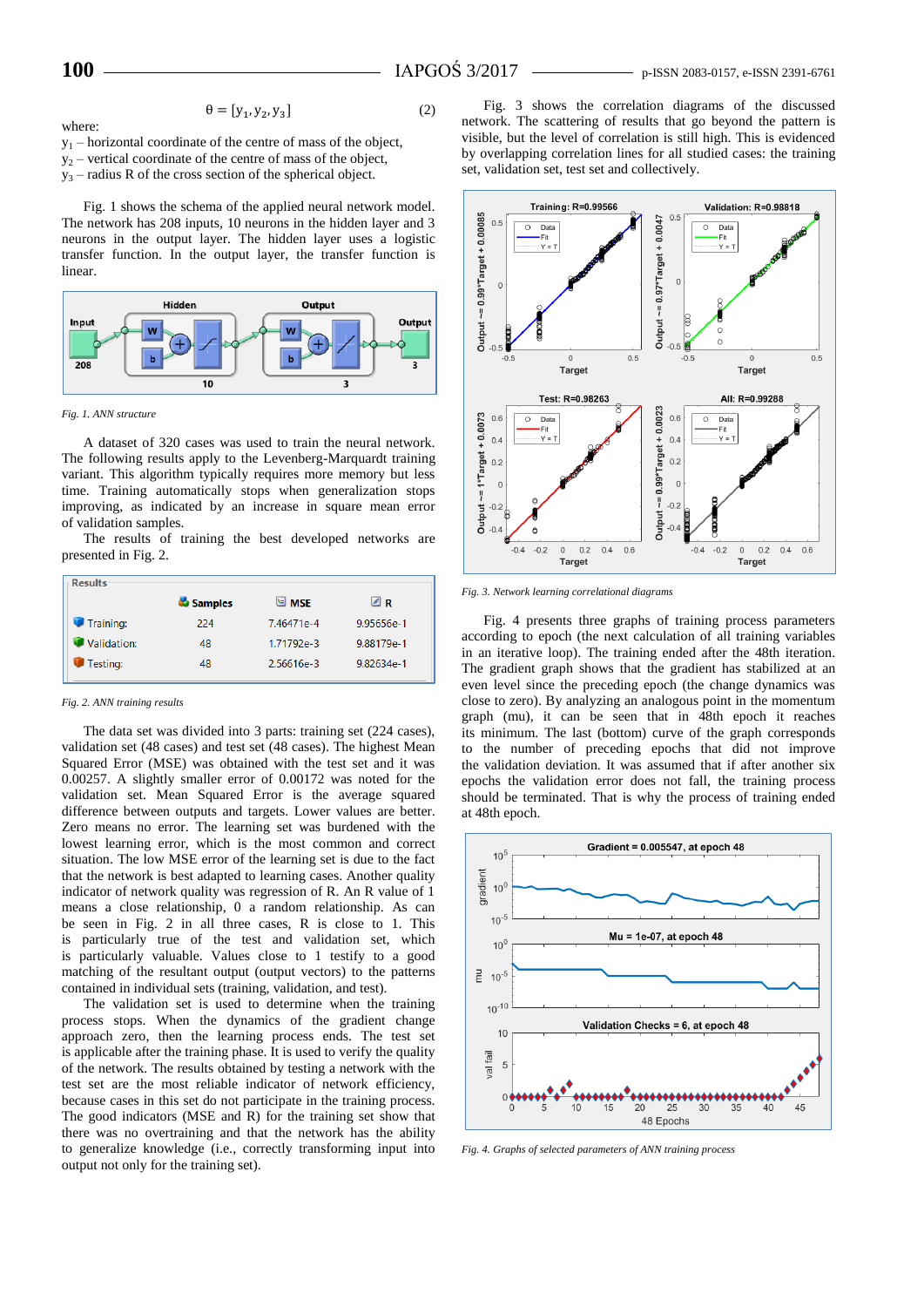where:

$$
\theta = [y_1, y_2, y_3] \tag{2}
$$

 $y_1$  – horizontal coordinate of the centre of mass of the object,  $y_2$  – vertical coordinate of the centre of mass of the object,

 $y_3$  – radius R of the cross section of the spherical object.

Fig. 1 shows the schema of the applied neural network model. The network has 208 inputs, 10 neurons in the hidden layer and 3 neurons in the output layer. The hidden layer uses a logistic transfer function. In the output layer, the transfer function is linear.



*Fig. 1. ANN structure*

A dataset of 320 cases was used to train the neural network. The following results apply to the Levenberg-Marquardt training variant. This algorithm typically requires more memory but less time. Training automatically stops when generalization stops improving, as indicated by an increase in square mean error of validation samples.

The results of training the best developed networks are presented in Fig. 2.

| <b>Results</b> |                |                    |            |
|----------------|----------------|--------------------|------------|
|                | <b>Samples</b> | $\blacksquare$ MSE | ⊠R         |
| Training:      | 224            | 7.46471e-4         | 9.95656e-1 |
| Validation:    | 48             | 1.71792e-3         | 9.88179e-1 |
| Testing:       | 48             | 2.56616e-3         | 9.82634e-1 |
|                |                |                    |            |

#### *Fig. 2. ANN training results*

The data set was divided into 3 parts: training set (224 cases), validation set (48 cases) and test set (48 cases). The highest Mean Squared Error (MSE) was obtained with the test set and it was 0.00257. A slightly smaller error of 0.00172 was noted for the validation set. Mean Squared Error is the average squared difference between outputs and targets. Lower values are better. Zero means no error. The learning set was burdened with the lowest learning error, which is the most common and correct situation. The low MSE error of the learning set is due to the fact that the network is best adapted to learning cases. Another quality indicator of network quality was regression of R. An R value of 1 means a close relationship, 0 a random relationship. As can be seen in Fig. 2 in all three cases, R is close to 1. This is particularly true of the test and validation set, which is particularly valuable. Values close to 1 testify to a good matching of the resultant output (output vectors) to the patterns contained in individual sets (training, validation, and test).

The validation set is used to determine when the training process stops. When the dynamics of the gradient change approach zero, then the learning process ends. The test set is applicable after the training phase. It is used to verify the quality of the network. The results obtained by testing a network with the test set are the most reliable indicator of network efficiency, because cases in this set do not participate in the training process. The good indicators (MSE and R) for the training set show that there was no overtraining and that the network has the ability to generalize knowledge (i.e., correctly transforming input into output not only for the training set).

Fig. 3 shows the correlation diagrams of the discussed network. The scattering of results that go beyond the pattern is visible, but the level of correlation is still high. This is evidenced by overlapping correlation lines for all studied cases: the training set, validation set, test set and collectively.



*Fig. 3. Network learning correlational diagrams*

Fig. 4 presents three graphs of training process parameters according to epoch (the next calculation of all training variables in an iterative loop). The training ended after the 48th iteration. The gradient graph shows that the gradient has stabilized at an even level since the preceding epoch (the change dynamics was close to zero). By analyzing an analogous point in the momentum graph (mu), it can be seen that in 48th epoch it reaches its minimum. The last (bottom) curve of the graph corresponds to the number of preceding epochs that did not improve the validation deviation. It was assumed that if after another six epochs the validation error does not fall, the training process should be terminated. That is why the process of training ended at 48th epoch.



*Fig. 4. Graphs of selected parameters of ANN training process*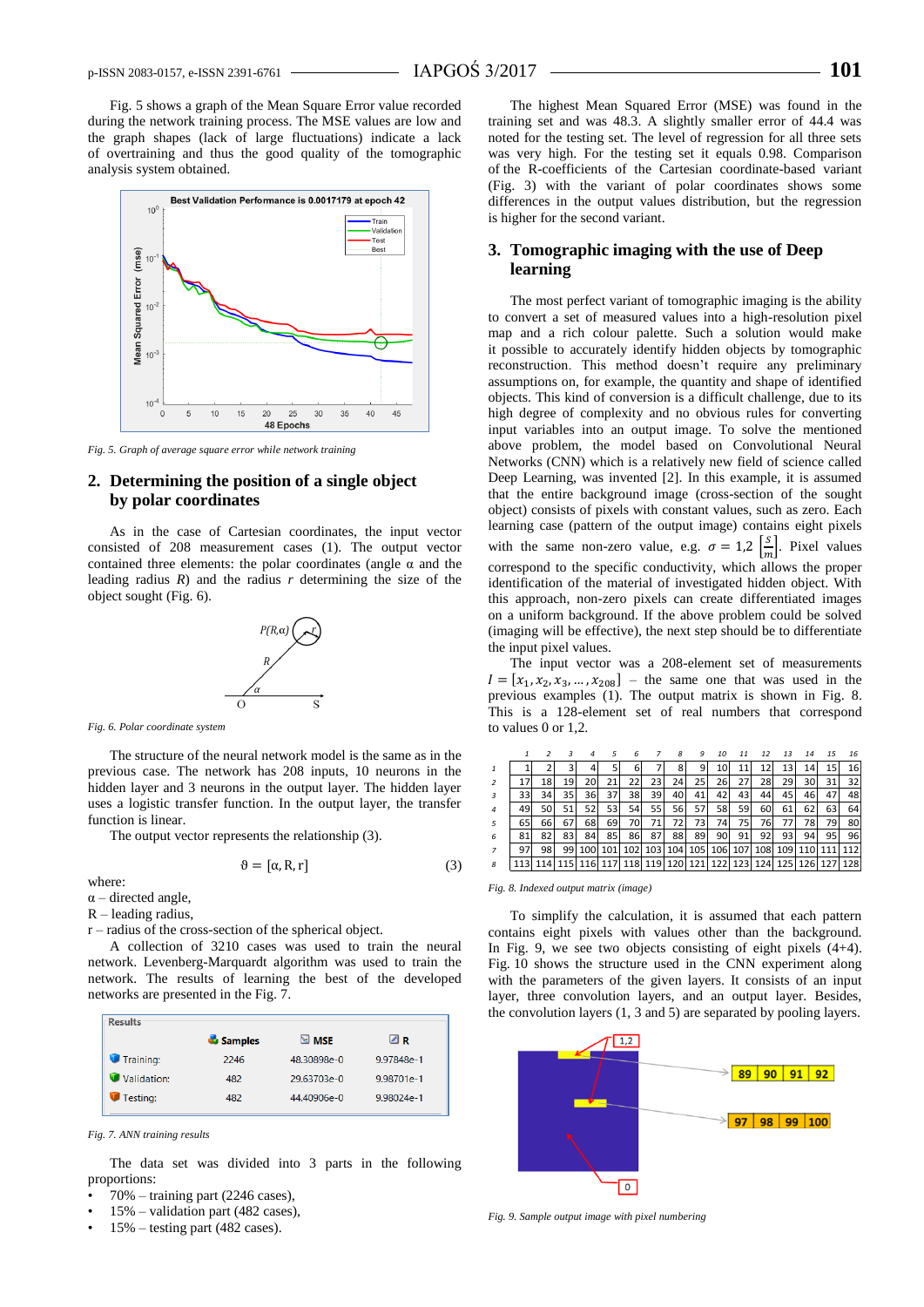Fig. 5 shows a graph of the Mean Square Error value recorded during the network training process. The MSE values are low and the graph shapes (lack of large fluctuations) indicate a lack of overtraining and thus the good quality of the tomographic analysis system obtained.



*Fig. 5. Graph of average square error while network training*

## **2. Determining the position of a single object by polar coordinates**

As in the case of Cartesian coordinates, the input vector consisted of 208 measurement cases (1). The output vector contained three elements: the polar coordinates (angle  $\alpha$  and the leading radius  $R$ ) and the radius  $r$  determining the size of the object sought (Fig. 6).



*Fig. 6. Polar coordinate system*

The structure of the neural network model is the same as in the previous case. The network has 208 inputs, 10 neurons in the hidden layer and 3 neurons in the output layer. The hidden layer uses a logistic transfer function. In the output layer, the transfer function is linear.

The output vector represents the relationship (3).

$$
\vartheta = [\alpha, R, r] \tag{3}
$$

where:

- $\alpha$  directed angle,
- $R$  leading radius,
- r radius of the cross-section of the spherical object.

A collection of 3210 cases was used to train the neural network. Levenberg-Marquardt algorithm was used to train the network. The results of learning the best of the developed networks are presented in the Fig. 7.

| <b>Results</b> |                |                    |            |
|----------------|----------------|--------------------|------------|
|                | <b>Samples</b> | $\blacksquare$ MSE | ⊠R         |
| Training:      | 2246           | 48.30898e-0        | 9.97848e-1 |
| Validation:    | 482            | 29.63703e-0        | 9.98701e-1 |
| Testing:       | 482            | 44.40906e-0        | 9.98024e-1 |

*Fig. 7. ANN training results*

The data set was divided into 3 parts in the following proportions:

- 70% training part (2246 cases),
- $15%$  validation part (482 cases),
- $15% -$  testing part (482 cases).

The highest Mean Squared Error (MSE) was found in the training set and was 48.3. A slightly smaller error of 44.4 was noted for the testing set. The level of regression for all three sets was very high. For the testing set it equals 0.98. Comparison of the R-coefficients of the Cartesian coordinate-based variant (Fig. 3) with the variant of polar coordinates shows some differences in the output values distribution, but the regression is higher for the second variant.

## **3. Tomographic imaging with the use of Deep learning**

The most perfect variant of tomographic imaging is the ability to convert a set of measured values into a high-resolution pixel map and a rich colour palette. Such a solution would make it possible to accurately identify hidden objects by tomographic reconstruction. This method doesn't require any preliminary assumptions on, for example, the quantity and shape of identified objects. This kind of conversion is a difficult challenge, due to its high degree of complexity and no obvious rules for converting input variables into an output image. To solve the mentioned above problem, the model based on Convolutional Neural Networks (CNN) which is a relatively new field of science called Deep Learning, was invented [2]. In this example, it is assumed that the entire background image (cross-section of the sought object) consists of pixels with constant values, such as zero. Each learning case (pattern of the output image) contains eight pixels with the same non-zero value, e.g.  $\sigma = 1.2 \int_{\infty}^{5}$  $\frac{5}{m}$ . Pixel values correspond to the specific conductivity, which allows the proper identification of the material of investigated hidden object. With this approach, non-zero pixels can create differentiated images on a uniform background. If the above problem could be solved (imaging will be effective), the next step should be to differentiate the input pixel values.

The input vector was a 208-element set of measurements  $I = [x_1, x_2, x_3, ..., x_{208}]$  – the same one that was used in the previous examples (1). The output matrix is shown in Fig. 8. This is a 128-element set of real numbers that correspond to values 0 or 1,2.

|                |      |    |    |     | 5   | 6    |     | 8   | 9       | 10 | 11      | 12  | 13  | 14  | 15 | 16                                                          |
|----------------|------|----|----|-----|-----|------|-----|-----|---------|----|---------|-----|-----|-----|----|-------------------------------------------------------------|
| 1              |      |    |    |     |     | 6    |     |     | 9       | 10 | 11      | 12  | 13  | 14  | 15 | 16                                                          |
| 2              | 17   | 18 | 19 | 20  | 21  | 22   | 23  | 24  | 25      | 26 | 27      | 28  | 29  | 30  | 31 | 32                                                          |
| 3              | 33   | 34 | 35 | 36  | 37  | 38   | 39  | 40  | 41      | 42 | 43      | 44  | 45  | 46  | 47 | 48                                                          |
| $\overline{4}$ | 49   | 50 | 51 | 52  | 53  | 54   | 55  | 56  | 57      | 58 | 59      | 60  | 61  | 62  | 63 | 64                                                          |
| 5              | 65   | 66 | 67 | 68  | 69  | 70I  | 71  | 721 | 731     | 74 | 75      | 76  | 77  | 78  | 79 | 80                                                          |
| 6              | 81   | 82 | 83 | 84  | 85  | 86I  | 87  | 88  | 89      | 90 | 91      | 92  | 93  | 94  | 95 | 96                                                          |
| $\overline{7}$ | 97   | 98 | 99 | 100 | 101 | 102l | 103 |     | 104 105 |    | 106 107 | 108 | 109 | 110 |    | 111 112                                                     |
| 8              | 1131 |    |    |     |     |      |     |     |         |    |         |     |     |     |    | 114 115 116 117 118 119 120 121 122 123 124 125 126 127 128 |

*Fig. 8. Indexed output matrix (image)*

To simplify the calculation, it is assumed that each pattern contains eight pixels with values other than the background. In Fig. 9, we see two objects consisting of eight pixels (4+4). Fig. 10 shows the structure used in the CNN experiment along with the parameters of the given layers. It consists of an input layer, three convolution layers, and an output layer. Besides, the convolution layers (1, 3 and 5) are separated by pooling layers.



*Fig. 9. Sample output image with pixel numbering*